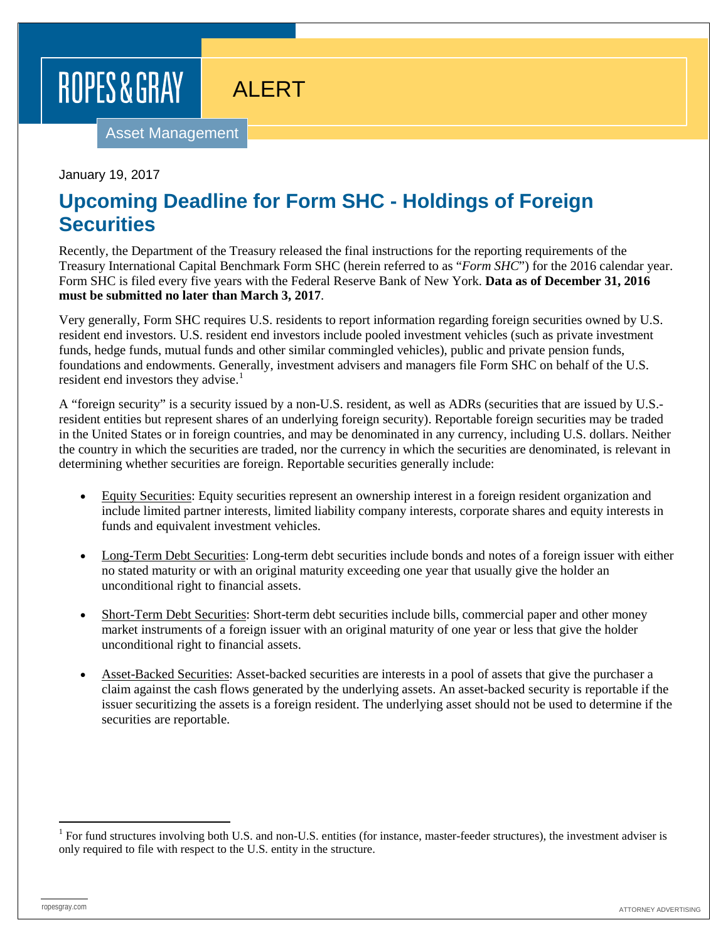## ROPES & GRAY

## ALERT

Asset Management

January 19, 2017

## **Upcoming Deadline for Form SHC - Holdings of Foreign Securities**

Recently, the Department of the Treasury released the final instructions for the reporting requirements of the Treasury International Capital Benchmark Form SHC (herein referred to as "*Form SHC*") for the 2016 calendar year. Form SHC is filed every five years with the Federal Reserve Bank of New York. **Data as of December 31, 2016 must be submitted no later than March 3, 2017**.

Very generally, Form SHC requires U.S. residents to report information regarding foreign securities owned by U.S. resident end investors. U.S. resident end investors include pooled investment vehicles (such as private investment funds, hedge funds, mutual funds and other similar commingled vehicles), public and private pension funds, foundations and endowments. Generally, investment advisers and managers file Form SHC on behalf of the U.S. resident end investors they advise.<sup>[1](#page-0-0)</sup>

A "foreign security" is a security issued by a non-U.S. resident, as well as ADRs (securities that are issued by U.S. resident entities but represent shares of an underlying foreign security). Reportable foreign securities may be traded in the United States or in foreign countries, and may be denominated in any currency, including U.S. dollars. Neither the country in which the securities are traded, nor the currency in which the securities are denominated, is relevant in determining whether securities are foreign. Reportable securities generally include:

- Equity Securities: Equity securities represent an ownership interest in a foreign resident organization and include limited partner interests, limited liability company interests, corporate shares and equity interests in funds and equivalent investment vehicles.
- Long-Term Debt Securities: Long-term debt securities include bonds and notes of a foreign issuer with either no stated maturity or with an original maturity exceeding one year that usually give the holder an unconditional right to financial assets.
- Short-Term Debt Securities: Short-term debt securities include bills, commercial paper and other money market instruments of a foreign issuer with an original maturity of one year or less that give the holder unconditional right to financial assets.
- Asset-Backed Securities: Asset-backed securities are interests in a pool of assets that give the purchaser a claim against the cash flows generated by the underlying assets. An asset-backed security is reportable if the issuer securitizing the assets is a foreign resident. The underlying asset should not be used to determine if the securities are reportable.

<span id="page-0-0"></span> $1$  For fund structures involving both U.S. and non-U.S. entities (for instance, master-feeder structures), the investment adviser is only required to file with respect to the U.S. entity in the structure.